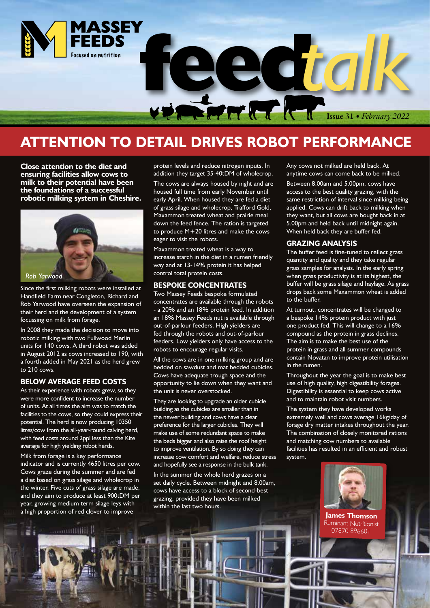

### **ATTENTION TO DETAIL DRIVES ROBOT PERFORMANCE**

**Close attention to the diet and ensuring facilities allow cows to milk to their potential have been the foundations of a successful robotic milking system in Cheshire.** 



Since the first milking robots were installed at Handfield Farm near Congleton, Richard and Rob Yarwood have overseen the expansion of their herd and the development of a system focussing on milk from forage.

In 2008 they made the decision to move into robotic milking with two Fullwood Merlin units for 140 cows. A third robot was added in August 2012 as cows increased to 190, with a fourth added in May 2021 as the herd grew to 210 cows.

#### **BELOW AVERAGE FEED COSTS**

As their experience with robots grew, so they were more confident to increase the number of units. At all times the aim was to match the facilities to the cows, so they could express their potential. The herd is now producing 10350 litres/cow from the all-year-round calving herd, with feed costs around 2ppl less than the Kite average for high yielding robot herds.

Milk from forage is a key performance indicator and is currently 4650 litres per cow. Cows graze during the summer and are fed a diet based on grass silage and wholecrop in the winter. Five cuts of grass silage are made, and they aim to produce at least 900tDM per year, growing medium term silage leys with a high proportion of red clover to improve

أأ أأأااااااااااا

protein levels and reduce nitrogen inputs. In addition they target 35-40tDM of wholecrop.

The cows are always housed by night and are housed full time from early November until early April. When housed they are fed a diet of grass silage and wholecrop, Trafford Gold, Maxammon treated wheat and prairie meal down the feed fence. The ration is targeted to produce M+20 litres and make the cows eager to visit the robots.

Maxammon treated wheat is a way to increase starch in the diet in a rumen friendly way and at 13-14% protein it has helped control total protein costs.

#### **BESPOKE CONCENTRATES**

Two Massey Feeds bespoke formulated concentrates are available through the robots - a 20% and an 18% protein feed. In addition an 18% Massey Feeds nut is available through out-of-parlour feeders. High yielders are fed through the robots and out-of-parlour feeders. Low yielders only have access to the robots to encourage regular visits.

All the cows are in one milking group and are bedded on sawdust and mat bedded cubicles. Cows have adequate trough space and the opportunity to lie down when they want and the unit is never overstocked.

They are looking to upgrade an older cubicle building as the cubicles are smaller than in the newer building and cows have a clear preference for the larger cubicles. They will make use of some redundant space to make the beds bigger and also raise the roof height to improve ventilation. By so doing they can increase cow comfort and welfare, reduce stress and hopefully see a response in the bulk tank.

In the summer the whole herd grazes on a set daily cycle. Between midnight and 8.00am, cows have access to a block of second-best grazing, provided they have been milked within the last two hours.

Any cows not milked are held back. At anytime cows can come back to be milked. Between 8.00am and 5.00pm, cows have access to the best quality grazing, with the same restriction of interval since milking being applied. Cows can drift back to milking when they want, but all cows are bought back in at 5.00pm and held back until midnight again. When held back they are buffer fed.

#### **GRAZING ANALYSIS**

The buffer feed is fine-tuned to reflect grass quantity and quality and they take regular grass samples for analysis. In the early spring when grass productivity is at its highest, the buffer will be grass silage and haylage. As grass drops back some Maxammon wheat is added to the buffer.

At turnout, concentrates will be changed to a bespoke 14% protein product with just one product fed. This will change to a 16% compound as the protein in grass declines. The aim is to make the best use of the protein in grass and all summer compounds contain Novatan to improve protein utilisation in the rumen.

Throughout the year the goal is to make best use of high quality, high digestibility forages. Digestibility is essential to keep cows active and to maintain robot visit numbers.

The system they have developed works extremely well and cows average 16kg/day of forage dry matter intakes throughout the year. The combination of closely monitored rations and matching cow numbers to available facilities has resulted in an efficient and robust system.



**James Thomson** Ruminant Nutritionist 07870 896601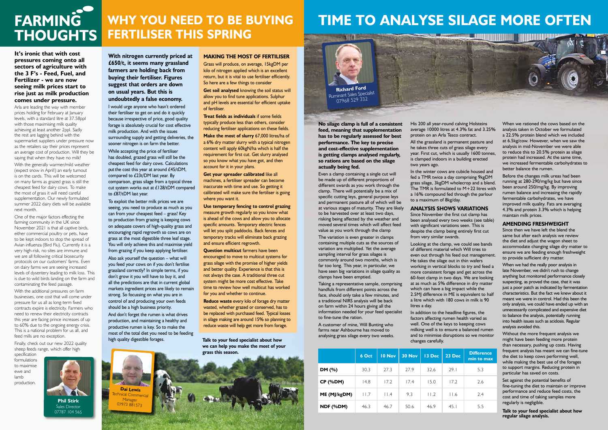

**It's ironic that with cost pressures coming onto all sectors of agriculture with the 3 F's - Feed, Fuel, and Fertilizer - we are now seeing milk prices start to rise just as milk production** 

**comes under pressure.** 

Arla are leading the way with member prices holding for February at January levels, with a standard litre at 37.58ppl with those maximising milk quality achieving at least another 2ppl. Sadly the rest are lagging behind with the supermarket suppliers under pressure now as the retailers say their prices represent an average cost of production. Will they be saying that when they have no milk?

With the generally warmer/mild weather (expect snow in April!) an early turnout is on the cards. This will be welcomed on many farms as grazed grass is still the cheapest feed for dairy cows. To make the most of grass it will need careful supplementation. Our newly formulated summer 2022 dairy diets will be available next month.

One of the major factors effecting the farming community in the UK since November 2021 is that all captive birds. either commercial poultry or pets, have to be kept indoors to stop the spread of Avian influenza (Bird Flu). Currently it is a very high-risk, no sites are immune and we are all following critical biosecurity protocols on our customers' farms. Even on dairy farms we are seeing increased levels of dysentery leading to milk loss. This is due to wild birds landing on the farm and contaminating the feed passage.

With the additional pressures on farm businesses, one cost that will come under pressure for us all as long-term fixed contracts expire is electricity. Farmers who need to renew their electricity contracts this year are facing prince increases of up to 60% due to the ongoing energy crisis. This is a national problem for us all, and feed mills are no exception.

Finally, check out our new 2022 quality sheep feeds range, which offer high specification

formulations to maximise ewe and lamb production.

**With nitrogen currently priced at £650/t, it seems many grassland farmers are holding back from buying their fertiliser. Figures suggest that orders are down on usual years. But this is undoubtedly a false economy.**

I would urge anyone who hasn't ordered their fertiliser to get on and do it quickly because irrespective of price, good quality forage is absolutely crucial for cost effective milk production. And with the issues surrounding supply and getting deliveries, the sooner nitrogen is on farm the better.

While accepting the price of fertiliser has doubled, grazed grass will still be the cheapest feed for dairy cows. Calculations put the cost this year at around £45/tDM, compared to £23t/DM last year. By comparison, grass silage from a typical three cut system works out at £128/tDM compared to £87/tDM last year.

To exploit the better milk prices we are seeing, you need to produce as much as you can from your cheapest feed – grass! Key to production from grazing is keeping cows on adequate covers of high-quality grass and encouraging rapid regrowth so cows are on grass at the most digestible three leaf stage. You will only achieve this and maximise yield from grazing if you keep applying fertiliser.

Also ask yourself the question – what will you feed your cows on if you don't fertilise grassland correctly? In simple terms, if you don't grow it you will have to buy it, and all the predictions are that in current global markets ingredient prices are likely to remain strong. So focussing on what you are in control of and producing your own feeds should be a high business priority.

And don't forget the rumen is what drives production, and maintaining a healthy and productive rumen is key. So to make the most of the total diet you need to be feeding high quality digestible forages. **Talk to your feed specialist about how** 

**we can help you make the most of your grass this season.**

### **WHY YOU NEED TO BE BUYING FERTILISER THIS SPRING**



**Phil Stirk** Sales Director 07787 104 565

# **TIME TO ANALYSE SILAGE MORE OFTEN**

|              | 6 Oct | 10 Nov         | <b>30 Nov</b> | 13 Dec | 23 Dec | <b>Difference</b><br>min to max |
|--------------|-------|----------------|---------------|--------|--------|---------------------------------|
| DM (%)       | 30.3  | 27.3           | 27.9          | 32.6   | 29.1   | 5.3                             |
| $CP$ (%DM)   | 14.8  | 17.2           | 17.4          | 15.0   | 17.2   | 2.6                             |
| ME (MJ/kgDM) | 11.7  | $  \cdot  $ .4 | 9.3           | 11.2   | 11.6   | 2.4                             |
| NDF (%DM)    | 46.3  | 46.7           | 50.6          | 46.9   | 45.1   | 5.5                             |

**No silage clamp is full of a consistent feed, meaning that supplementation has to be regularly assessed for best performance. The key to precise and cost-effective supplementation is getting clamps analysed regularly, so rations are based on the silage actually being fed.** 

Grass will produce, on average, 15kgDM per kilo of nitrogen applied which is an excellent return, but it is vital to use fertiliser efficiently. So here are a few things to consider **Get soil analysed** knowing the soil status will

> Even a clamp containing a single cut will be made up of different proportions of different swards as you work through the clamp. There will potentially be a mix of specific cutting leys, general purpose leys and permanent pasture all of which will be at various stages of maturity. They are likely to be harvested over at least two days, risking being affected by the weather and moved several times which will affect feed value as you work through the clamp

**Get your spreader calibrated like all** machines, a fertiliser spreader can become inaccurate with time and use. So getting it calibrated will make sure the fertiliser is going where you want it.

> The variation is even greater in clamps containing multiple cuts as the sources of variation are multiplied. Yet the average sampling interval for grass silages is commonly around two months, which is far too long. This year, in particular, we have seen big variations in silage quality as clamps have been emptied.

Taking a representative sample, comprising handfuls from different points across the face, should only take a few minutes, and a traditional NIRS analysis will be back on farm within 24 hours giving all the information needed for your feed specialist to fine-tune the ration.

A customer of mine, Will Bunting who farms near Ashbourne has moved to analysing grass silage every two weeks. His 200 all year-round calving Holsteins average 10000 litres at 4.3% fat and 3.25% protein on an Arla Tesco contract.

All the grassland is permanent pasture and he takes three cuts of grass silage every year. First cut, which is usually 1600 tonnes, is clamped indoors in a building erected two years ago.

In the winter cows are cubicle housed and fed a TMR twice a day comprising 9kgDM grass silage, 3kgDM wholecrop and a blend. The TMR is formulated to  $M+22$  litres with a 16% compound fed through the parlour to a maximum of 8kg/day.

#### **ANALYSIS SHOWS VARIATIONS**

Since November the first cut clamp has been analysed every two weeks (see table) with significant variations seen. This is despite the clamp being entirely first cut from very similar swards.

Looking at the clamp, we could see bands of different material which Will tries to even out through his feed out management. He takes the silage out in thin wafers working in vertical blocks to try and feed a more consistent forage and get across the 60-foot clamp in two days. We are looking at as much as 5% difference in dry matter which can have a big impact while the 2.5MJ difference in ME is equivalent to half a litre which with 180 cows in milk is 90 litres a day.

In addition to the headline figures, the factors affecting rumen health varied as well. One of the keys to keeping cows milking well is to ensure a balanced rumen and to minimise disruptions so we monitor changes carefully.

When we rationed the cows based on the analysis taken in October we formulated a 22.5% protein blend which we included at 6.5kg/cow. However, when we saw the analysis in mid-November we were able to reduce this to 20.5% protein as silage protein had increased. At the same time, we increased fermentable carbohydrates to better balance the rumen.

Before the changes milk ureas had been running at 280-290/mg/kg but have since been around 250/mg/kg. By improving rumen balance and increasing the rapidly fermentable carbohydrates, we have improved milk quality. Fats are averaging 4.3% and protein 3.3% which is helping maintain milk prices.

#### **AMENDING FRESHWEIGHT**

Since then we have left the blend the same but after each analysis we review the diet and adjust the wagon sheet to accommodate changing silage dry matter to ensure we are feeding enough freshweight to provide sufficient dry matter.

When we had the really poor analysis in late November, we didn't rush to change anything but monitored performance closely suspecting, as proved the case, that it was just a poor patch as indicated by fermentation characteristics. But the fact we knew about it meant we were in control. Had this been the only analysis, we could have ended up with an unnecessarily complicated and expensive diet to balance the analysis, potentially running into health issues such as acidosis. Regular analysis avoided this.

Without the more frequent analysis we might have been feeding more protein than necessary, pushing up costs. Having frequent analysis has meant we can fine-tune the diet to keep cows performing well, while making the best use of the forages to support margins. Reducing protein in particular has saved on costs.

Set against the potential benefits of fine-tuning the diet to maintain or improve performance and reduce feed costs, the cost and time of taking samples more regularly is negligible.

**Talk to your feed specialist about how regular silage analysis.**





#### **MAKING THE MOST OF FERTILISER**

allow you to find tune applications. Sulphur and pH levels are essential for efficient uptake of fertiliser.

**Treat fields as individuals** if some fields typically produce less than others, consider reducing fertiliser applications on these fields.

**Make the most of slurry** 67,000 litres/ha of a 6% dry matter slurry with a typical nitrogen content will apply 60kgN/ha which is half the requirement for first cut. Get slurry analysed so you know what you have got, and then account for it in your plans.

**Use temporary fencing to control grazing**  measure growth regularly so you know what is ahead of the cows and allow you to allocate specific amounts. Temporary electric fences will let you split paddocks. Back fences and temporary tracks will eliminate back grazing and ensure efficient regrowth.

**Question multicut** farmers have been encouraged to move to multicut systems for grass silage with the promise of higher yields and better quality. Experience is that this is not always the case. A traditional three cut system might be more cost effective. Take time to review how well multicut has worked for you and whether to continue.

**Reduce waste** every kilo of forage dry matter wasted, whether grazed or conserved, has to be replaced with purchased feed. Typical losses in silage making are around 15% so planning to reduce waste will help get more from forage.